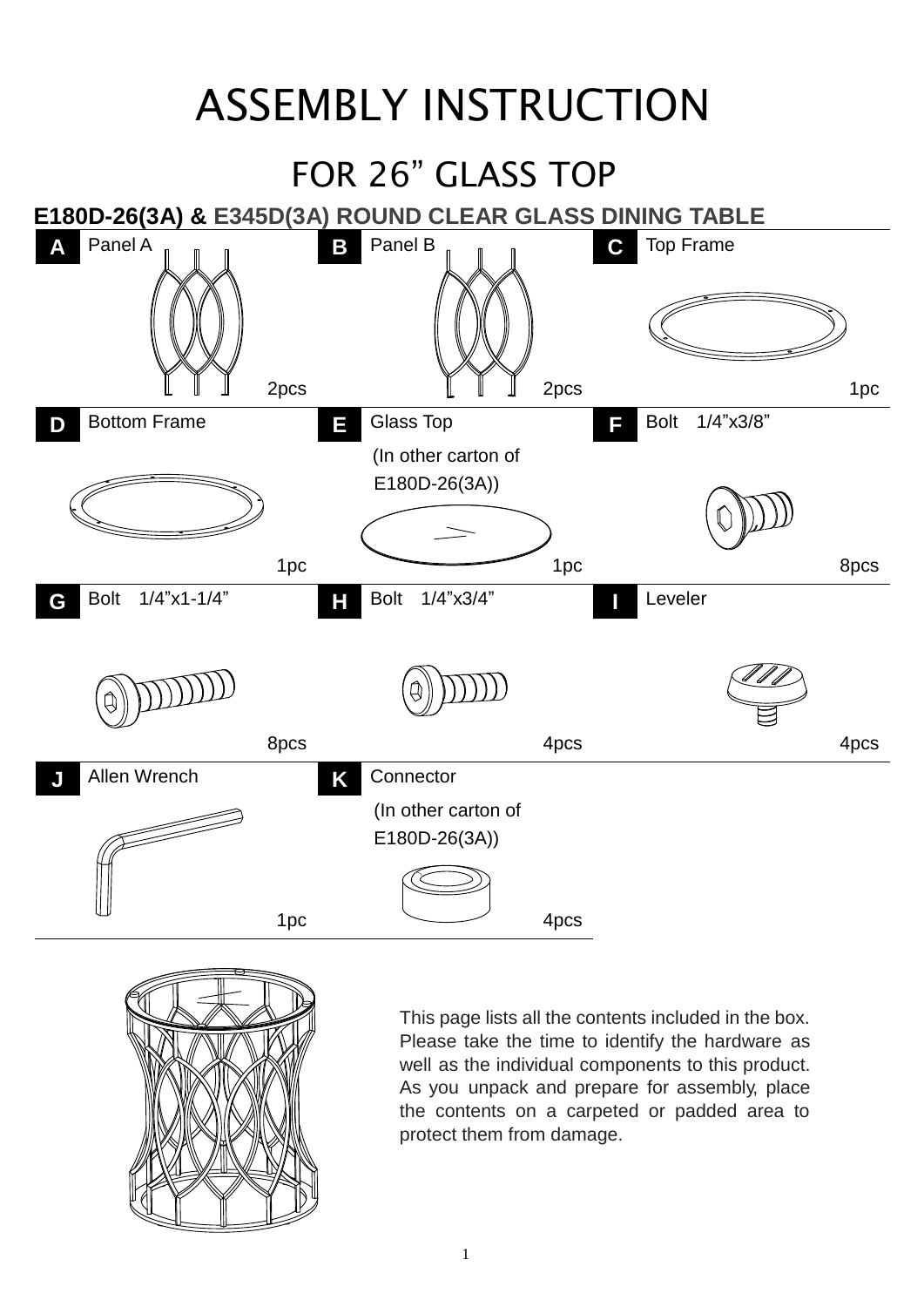## ASSEMBLY INSTRUCTION





This page lists all the contents included in the box. Please take the time to identify the hardware as well as the individual components to this product. As you unpack and prepare for assembly, place the contents on a carpeted or padded area to protect them from damage.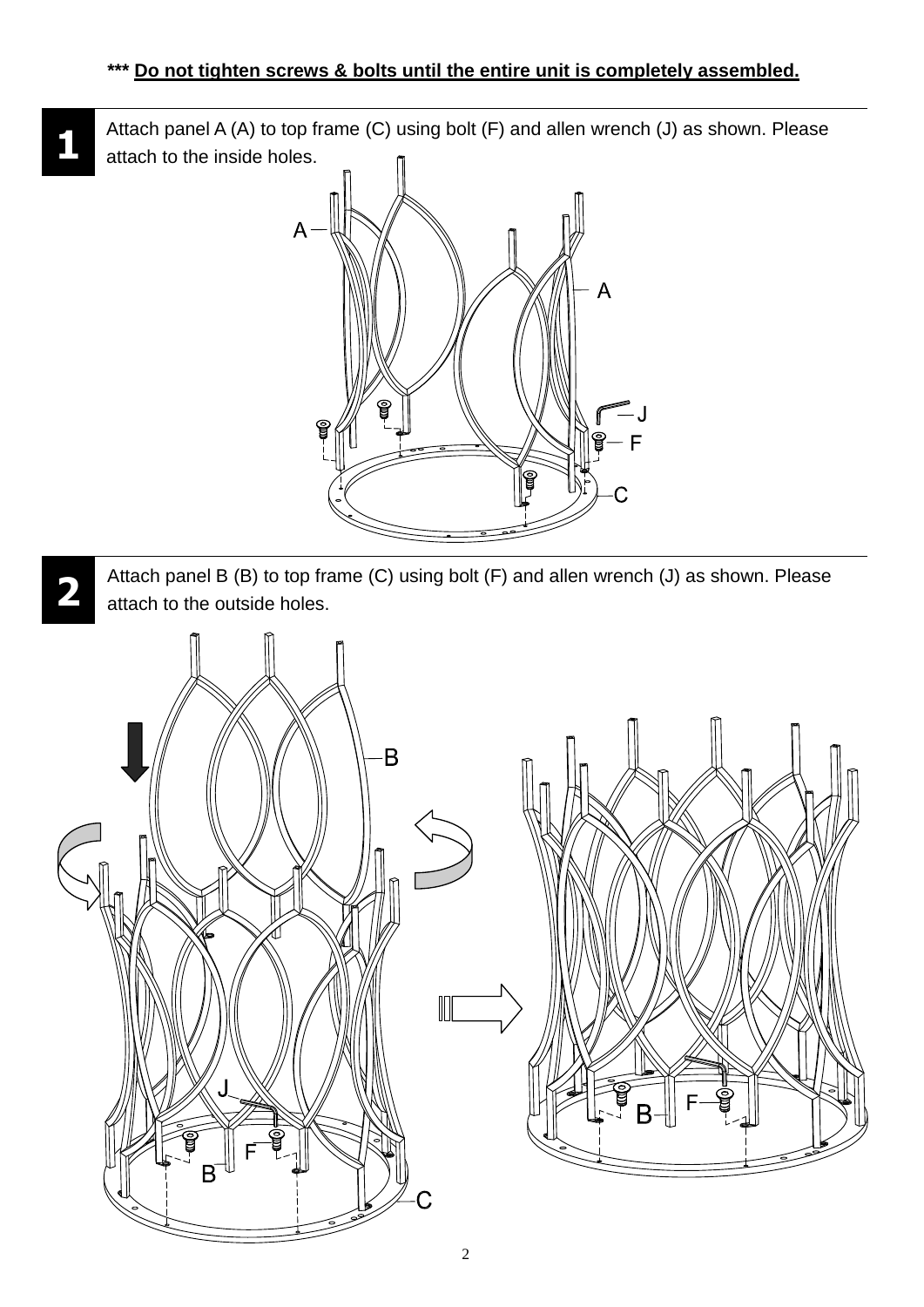**1** Attach panel A (A) to top frame (C) using bolt (F) and allen wrench (J) as shown. Please attach to the inside holes.



**2** Attach panel B (B) to top frame (C) using bolt (F) and allen wrench (J) as shown. Please attach to the outside holes.

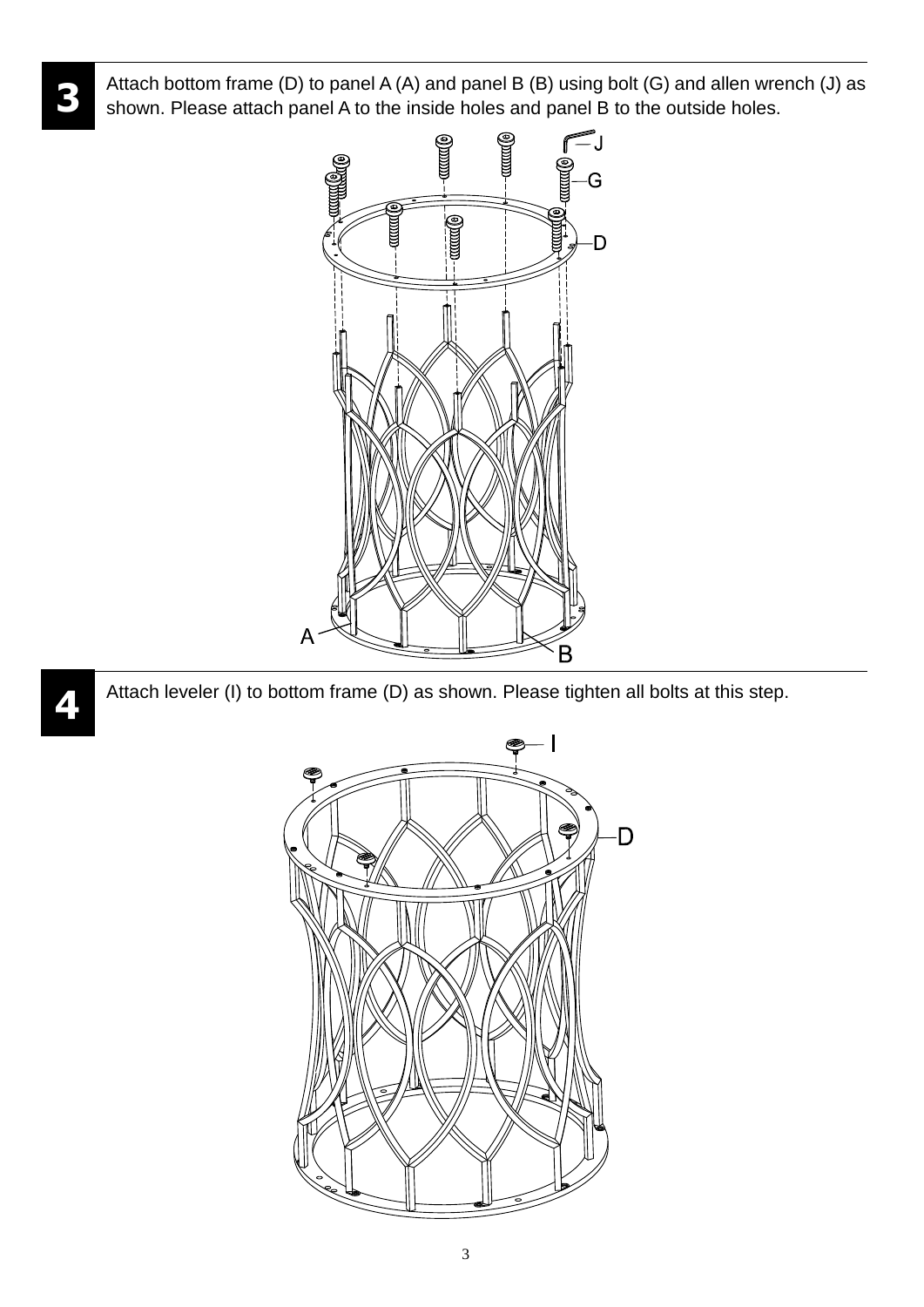Attach bottom frame (D) to panel A (A) and panel B (B) using bolt (G) and allen wrench (J) as shown. Please attach panel A to the inside holes and panel B to the outside holes.

**3**

**4**